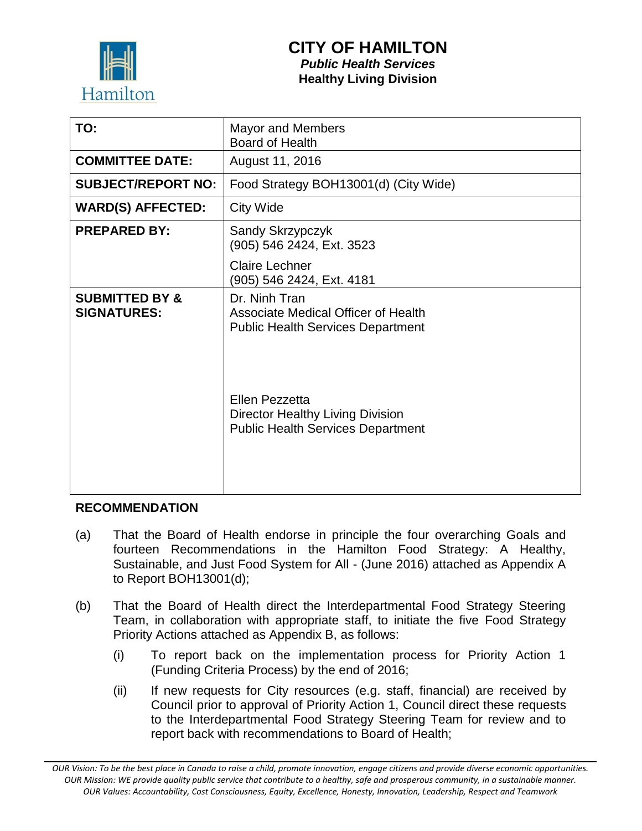

# **CITY OF HAMILTON**

*Public Health Services* **Healthy Living Division**

| TO:                                             | <b>Mayor and Members</b><br>Board of Health                                                           |
|-------------------------------------------------|-------------------------------------------------------------------------------------------------------|
| <b>COMMITTEE DATE:</b>                          | August 11, 2016                                                                                       |
| <b>SUBJECT/REPORT NO:</b>                       | Food Strategy BOH13001(d) (City Wide)                                                                 |
| <b>WARD(S) AFFECTED:</b>                        | <b>City Wide</b>                                                                                      |
| <b>PREPARED BY:</b>                             | Sandy Skrzypczyk<br>(905) 546 2424, Ext. 3523                                                         |
|                                                 | <b>Claire Lechner</b><br>(905) 546 2424, Ext. 4181                                                    |
| <b>SUBMITTED BY &amp;</b><br><b>SIGNATURES:</b> | Dr. Ninh Tran<br>Associate Medical Officer of Health<br><b>Public Health Services Department</b>      |
|                                                 | Ellen Pezzetta<br><b>Director Healthy Living Division</b><br><b>Public Health Services Department</b> |

#### **RECOMMENDATION**

- (a) That the Board of Health endorse in principle the four overarching Goals and fourteen Recommendations in the Hamilton Food Strategy: A Healthy, Sustainable, and Just Food System for All - (June 2016) attached as Appendix A to Report BOH13001(d);
- (b) That the Board of Health direct the Interdepartmental Food Strategy Steering Team, in collaboration with appropriate staff, to initiate the five Food Strategy Priority Actions attached as Appendix B, as follows:
	- (i) To report back on the implementation process for Priority Action 1 (Funding Criteria Process) by the end of 2016;
	- (ii) If new requests for City resources (e.g. staff, financial) are received by Council prior to approval of Priority Action 1, Council direct these requests to the Interdepartmental Food Strategy Steering Team for review and to report back with recommendations to Board of Health;

*OUR Vision: To be the best place in Canada to raise a child, promote innovation, engage citizens and provide diverse economic opportunities. OUR Mission: WE provide quality public service that contribute to a healthy, safe and prosperous community, in a sustainable manner. OUR Values: Accountability, Cost Consciousness, Equity, Excellence, Honesty, Innovation, Leadership, Respect and Teamwork*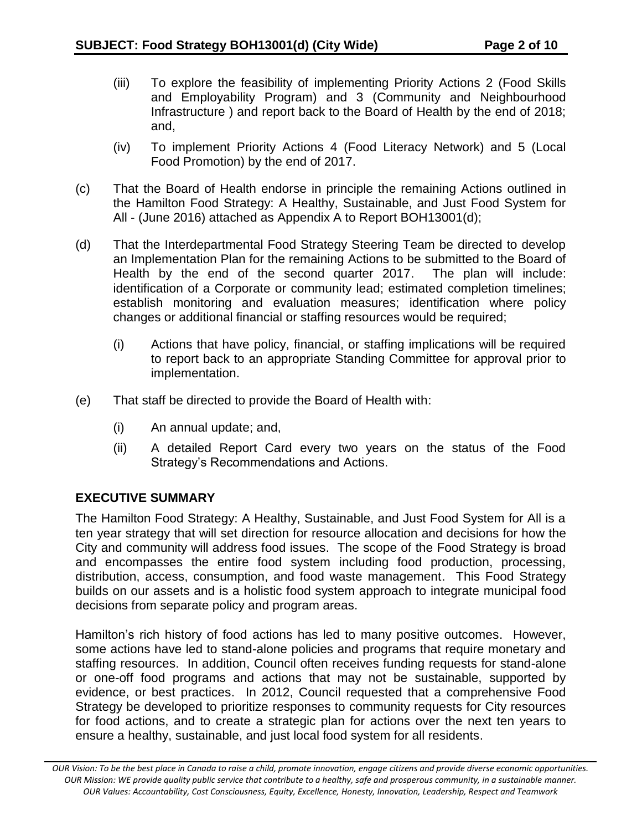- (iii) To explore the feasibility of implementing Priority Actions 2 (Food Skills and Employability Program) and 3 (Community and Neighbourhood Infrastructure ) and report back to the Board of Health by the end of 2018; and,
- (iv) To implement Priority Actions 4 (Food Literacy Network) and 5 (Local Food Promotion) by the end of 2017.
- (c) That the Board of Health endorse in principle the remaining Actions outlined in the Hamilton Food Strategy: A Healthy, Sustainable, and Just Food System for All - (June 2016) attached as Appendix A to Report BOH13001(d);
- (d) That the Interdepartmental Food Strategy Steering Team be directed to develop an Implementation Plan for the remaining Actions to be submitted to the Board of Health by the end of the second quarter 2017. The plan will include: identification of a Corporate or community lead; estimated completion timelines; establish monitoring and evaluation measures; identification where policy changes or additional financial or staffing resources would be required;
	- (i) Actions that have policy, financial, or staffing implications will be required to report back to an appropriate Standing Committee for approval prior to implementation.
- (e) That staff be directed to provide the Board of Health with:
	- (i) An annual update; and,
	- (ii) A detailed Report Card every two years on the status of the Food Strategy's Recommendations and Actions.

# **EXECUTIVE SUMMARY**

The Hamilton Food Strategy: A Healthy, Sustainable, and Just Food System for All is a ten year strategy that will set direction for resource allocation and decisions for how the City and community will address food issues. The scope of the Food Strategy is broad and encompasses the entire food system including food production, processing, distribution, access, consumption, and food waste management. This Food Strategy builds on our assets and is a holistic food system approach to integrate municipal food decisions from separate policy and program areas.

Hamilton's rich history of food actions has led to many positive outcomes. However, some actions have led to stand-alone policies and programs that require monetary and staffing resources. In addition, Council often receives funding requests for stand-alone or one-off food programs and actions that may not be sustainable, supported by evidence, or best practices. In 2012, Council requested that a comprehensive Food Strategy be developed to prioritize responses to community requests for City resources for food actions, and to create a strategic plan for actions over the next ten years to ensure a healthy, sustainable, and just local food system for all residents.

*OUR Vision: To be the best place in Canada to raise a child, promote innovation, engage citizens and provide diverse economic opportunities. OUR Mission: WE provide quality public service that contribute to a healthy, safe and prosperous community, in a sustainable manner. OUR Values: Accountability, Cost Consciousness, Equity, Excellence, Honesty, Innovation, Leadership, Respect and Teamwork*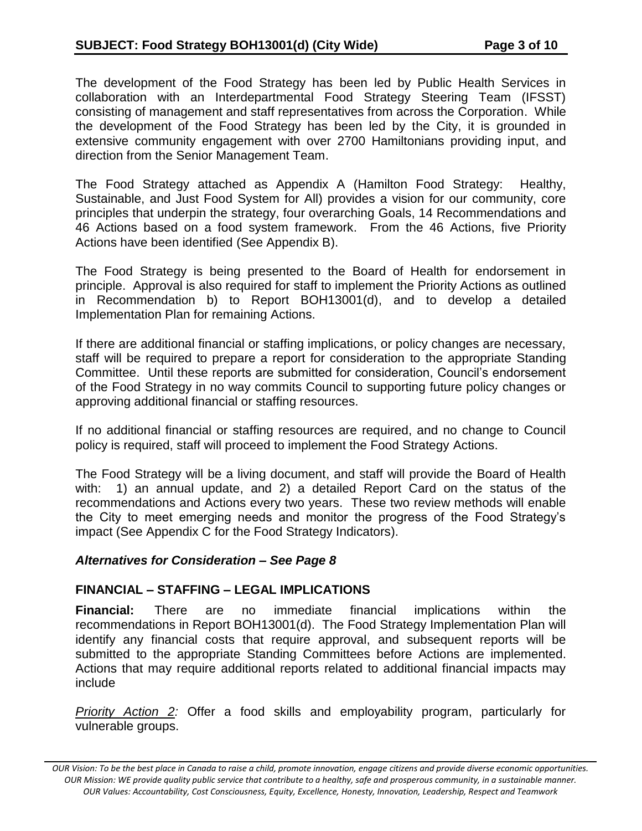The development of the Food Strategy has been led by Public Health Services in collaboration with an Interdepartmental Food Strategy Steering Team (IFSST) consisting of management and staff representatives from across the Corporation. While the development of the Food Strategy has been led by the City, it is grounded in extensive community engagement with over 2700 Hamiltonians providing input, and direction from the Senior Management Team.

The Food Strategy attached as Appendix A (Hamilton Food Strategy: Healthy, Sustainable, and Just Food System for All) provides a vision for our community, core principles that underpin the strategy, four overarching Goals, 14 Recommendations and 46 Actions based on a food system framework. From the 46 Actions, five Priority Actions have been identified (See Appendix B).

The Food Strategy is being presented to the Board of Health for endorsement in principle. Approval is also required for staff to implement the Priority Actions as outlined in Recommendation b) to Report BOH13001(d), and to develop a detailed Implementation Plan for remaining Actions.

If there are additional financial or staffing implications, or policy changes are necessary, staff will be required to prepare a report for consideration to the appropriate Standing Committee. Until these reports are submitted for consideration, Council's endorsement of the Food Strategy in no way commits Council to supporting future policy changes or approving additional financial or staffing resources.

If no additional financial or staffing resources are required, and no change to Council policy is required, staff will proceed to implement the Food Strategy Actions.

The Food Strategy will be a living document, and staff will provide the Board of Health with: 1) an annual update, and 2) a detailed Report Card on the status of the recommendations and Actions every two years. These two review methods will enable the City to meet emerging needs and monitor the progress of the Food Strategy's impact (See Appendix C for the Food Strategy Indicators).

#### *Alternatives for Consideration – See Page 8*

#### **FINANCIAL – STAFFING – LEGAL IMPLICATIONS**

**Financial:** There are no immediate financial implications within the recommendations in Report BOH13001(d). The Food Strategy Implementation Plan will identify any financial costs that require approval, and subsequent reports will be submitted to the appropriate Standing Committees before Actions are implemented. Actions that may require additional reports related to additional financial impacts may include

*Priority Action 2:* Offer a food skills and employability program, particularly for vulnerable groups.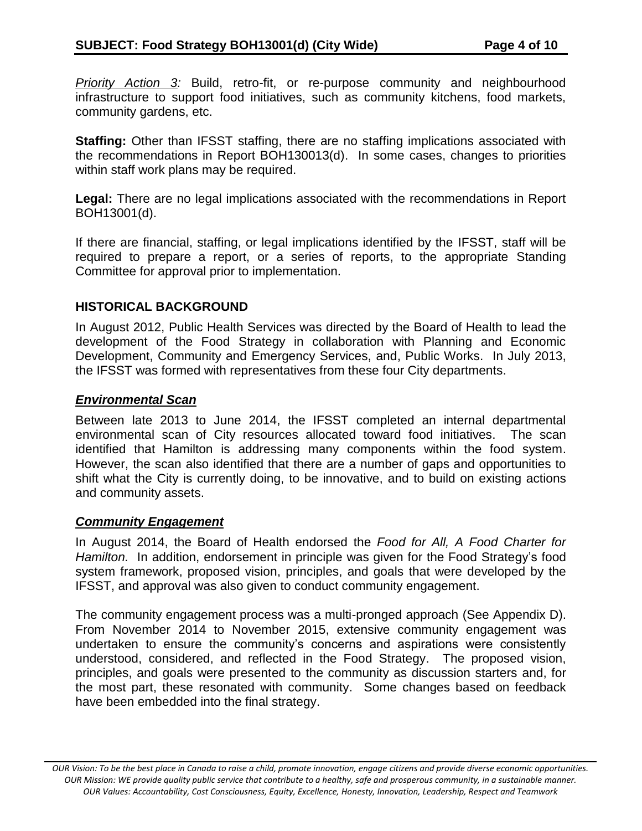*Priority Action 3:* Build, retro-fit, or re-purpose community and neighbourhood infrastructure to support food initiatives, such as community kitchens, food markets, community gardens, etc.

**Staffing:** Other than IFSST staffing, there are no staffing implications associated with the recommendations in Report BOH130013(d). In some cases, changes to priorities within staff work plans may be required.

**Legal:** There are no legal implications associated with the recommendations in Report BOH13001(d).

If there are financial, staffing, or legal implications identified by the IFSST, staff will be required to prepare a report, or a series of reports, to the appropriate Standing Committee for approval prior to implementation.

## **HISTORICAL BACKGROUND**

In August 2012, Public Health Services was directed by the Board of Health to lead the development of the Food Strategy in collaboration with Planning and Economic Development, Community and Emergency Services, and, Public Works. In July 2013, the IFSST was formed with representatives from these four City departments.

#### *Environmental Scan*

Between late 2013 to June 2014, the IFSST completed an internal departmental environmental scan of City resources allocated toward food initiatives. The scan identified that Hamilton is addressing many components within the food system. However, the scan also identified that there are a number of gaps and opportunities to shift what the City is currently doing, to be innovative, and to build on existing actions and community assets.

# *Community Engagement*

In August 2014, the Board of Health endorsed the *Food for All, A Food Charter for Hamilton.* In addition, endorsement in principle was given for the Food Strategy's food system framework, proposed vision, principles, and goals that were developed by the IFSST, and approval was also given to conduct community engagement.

The community engagement process was a multi-pronged approach (See Appendix D). From November 2014 to November 2015, extensive community engagement was undertaken to ensure the community's concerns and aspirations were consistently understood, considered, and reflected in the Food Strategy. The proposed vision, principles, and goals were presented to the community as discussion starters and, for the most part, these resonated with community. Some changes based on feedback have been embedded into the final strategy.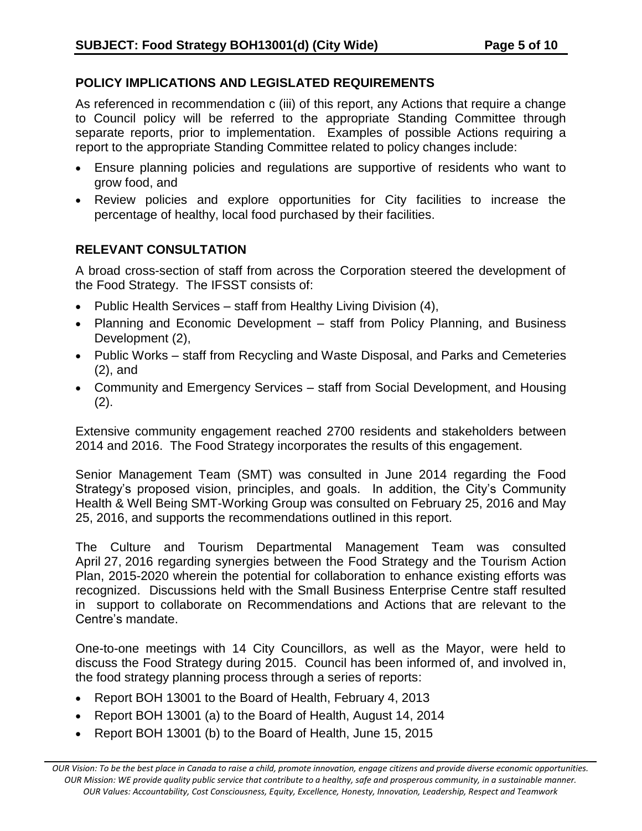# **POLICY IMPLICATIONS AND LEGISLATED REQUIREMENTS**

As referenced in recommendation c (iii) of this report, any Actions that require a change to Council policy will be referred to the appropriate Standing Committee through separate reports, prior to implementation. Examples of possible Actions requiring a report to the appropriate Standing Committee related to policy changes include:

- Ensure planning policies and regulations are supportive of residents who want to grow food, and
- Review policies and explore opportunities for City facilities to increase the percentage of healthy, local food purchased by their facilities.

# **RELEVANT CONSULTATION**

A broad cross-section of staff from across the Corporation steered the development of the Food Strategy. The IFSST consists of:

- Public Health Services staff from Healthy Living Division (4),
- Planning and Economic Development staff from Policy Planning, and Business Development (2),
- Public Works staff from Recycling and Waste Disposal, and Parks and Cemeteries (2), and
- Community and Emergency Services staff from Social Development, and Housing (2).

Extensive community engagement reached 2700 residents and stakeholders between 2014 and 2016. The Food Strategy incorporates the results of this engagement.

Senior Management Team (SMT) was consulted in June 2014 regarding the Food Strategy's proposed vision, principles, and goals. In addition, the City's Community Health & Well Being SMT-Working Group was consulted on February 25, 2016 and May 25, 2016, and supports the recommendations outlined in this report.

The Culture and Tourism Departmental Management Team was consulted April 27, 2016 regarding synergies between the Food Strategy and the Tourism Action Plan, 2015-2020 wherein the potential for collaboration to enhance existing efforts was recognized. Discussions held with the Small Business Enterprise Centre staff resulted in support to collaborate on Recommendations and Actions that are relevant to the Centre's mandate.

One-to-one meetings with 14 City Councillors, as well as the Mayor, were held to discuss the Food Strategy during 2015. Council has been informed of, and involved in, the food strategy planning process through a series of reports:

- Report BOH 13001 to the Board of Health, February 4, 2013
- Report BOH 13001 (a) to the Board of Health, August 14, 2014
- Report BOH 13001 (b) to the Board of Health, June 15, 2015

*OUR Vision: To be the best place in Canada to raise a child, promote innovation, engage citizens and provide diverse economic opportunities. OUR Mission: WE provide quality public service that contribute to a healthy, safe and prosperous community, in a sustainable manner. OUR Values: Accountability, Cost Consciousness, Equity, Excellence, Honesty, Innovation, Leadership, Respect and Teamwork*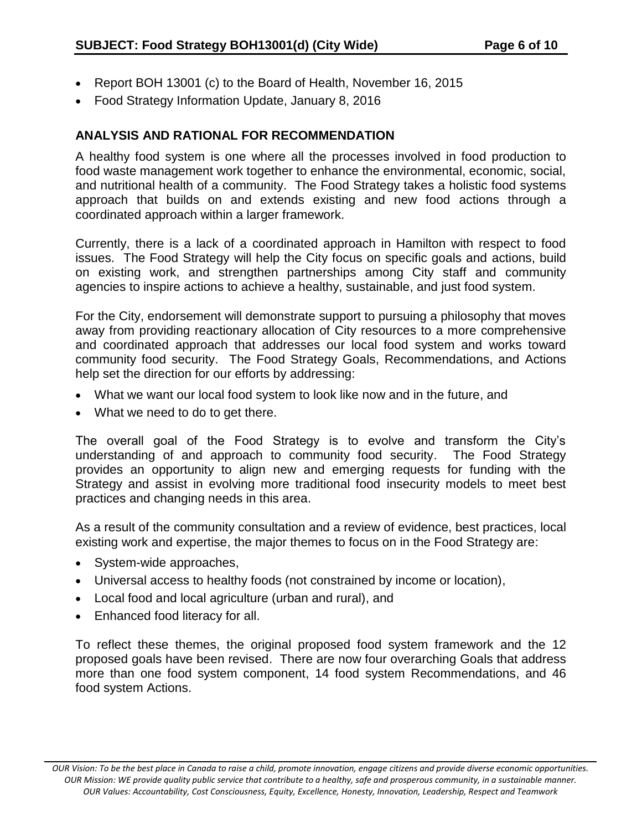- Report BOH 13001 (c) to the Board of Health, November 16, 2015
- Food Strategy Information Update, January 8, 2016

# **ANALYSIS AND RATIONAL FOR RECOMMENDATION**

A healthy food system is one where all the processes involved in food production to food waste management work together to enhance the environmental, economic, social, and nutritional health of a community. The Food Strategy takes a holistic food systems approach that builds on and extends existing and new food actions through a coordinated approach within a larger framework.

Currently, there is a lack of a coordinated approach in Hamilton with respect to food issues. The Food Strategy will help the City focus on specific goals and actions, build on existing work, and strengthen partnerships among City staff and community agencies to inspire actions to achieve a healthy, sustainable, and just food system.

For the City, endorsement will demonstrate support to pursuing a philosophy that moves away from providing reactionary allocation of City resources to a more comprehensive and coordinated approach that addresses our local food system and works toward community food security. The Food Strategy Goals, Recommendations, and Actions help set the direction for our efforts by addressing:

- What we want our local food system to look like now and in the future, and
- What we need to do to get there.

The overall goal of the Food Strategy is to evolve and transform the City's understanding of and approach to community food security. The Food Strategy provides an opportunity to align new and emerging requests for funding with the Strategy and assist in evolving more traditional food insecurity models to meet best practices and changing needs in this area.

As a result of the community consultation and a review of evidence, best practices, local existing work and expertise, the major themes to focus on in the Food Strategy are:

- System-wide approaches,
- Universal access to healthy foods (not constrained by income or location),
- Local food and local agriculture (urban and rural), and
- Enhanced food literacy for all.

To reflect these themes, the original proposed food system framework and the 12 proposed goals have been revised. There are now four overarching Goals that address more than one food system component, 14 food system Recommendations, and 46 food system Actions.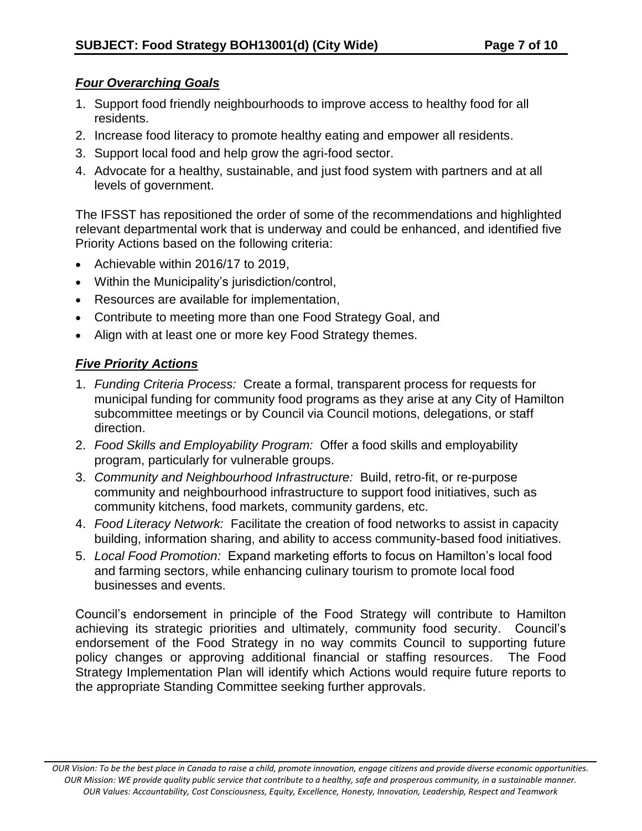# *Four Overarching Goals*

- 1. Support food friendly neighbourhoods to improve access to healthy food for all residents.
- 2. Increase food literacy to promote healthy eating and empower all residents.
- 3. Support local food and help grow the agri-food sector.
- 4. Advocate for a healthy, sustainable, and just food system with partners and at all levels of government.

The IFSST has repositioned the order of some of the recommendations and highlighted relevant departmental work that is underway and could be enhanced, and identified five Priority Actions based on the following criteria:

- Achievable within 2016/17 to 2019,
- Within the Municipality's jurisdiction/control,
- Resources are available for implementation,
- Contribute to meeting more than one Food Strategy Goal, and
- Align with at least one or more key Food Strategy themes.

# *Five Priority Actions*

- 1. *Funding Criteria Process:* Create a formal, transparent process for requests for municipal funding for community food programs as they arise at any City of Hamilton subcommittee meetings or by Council via Council motions, delegations, or staff direction.
- 2. *Food Skills and Employability Program:* Offer a food skills and employability program, particularly for vulnerable groups.
- 3. *Community and Neighbourhood Infrastructure:* Build, retro-fit, or re-purpose community and neighbourhood infrastructure to support food initiatives, such as community kitchens, food markets, community gardens, etc.
- 4. *Food Literacy Network:* Facilitate the creation of food networks to assist in capacity building, information sharing, and ability to access community-based food initiatives.
- 5. *Local Food Promotion:* Expand marketing efforts to focus on Hamilton's local food and farming sectors, while enhancing culinary tourism to promote local food businesses and events.

Council's endorsement in principle of the Food Strategy will contribute to Hamilton achieving its strategic priorities and ultimately, community food security. Council's endorsement of the Food Strategy in no way commits Council to supporting future policy changes or approving additional financial or staffing resources. The Food Strategy Implementation Plan will identify which Actions would require future reports to the appropriate Standing Committee seeking further approvals.

*OUR Vision: To be the best place in Canada to raise a child, promote innovation, engage citizens and provide diverse economic opportunities. OUR Mission: WE provide quality public service that contribute to a healthy, safe and prosperous community, in a sustainable manner. OUR Values: Accountability, Cost Consciousness, Equity, Excellence, Honesty, Innovation, Leadership, Respect and Teamwork*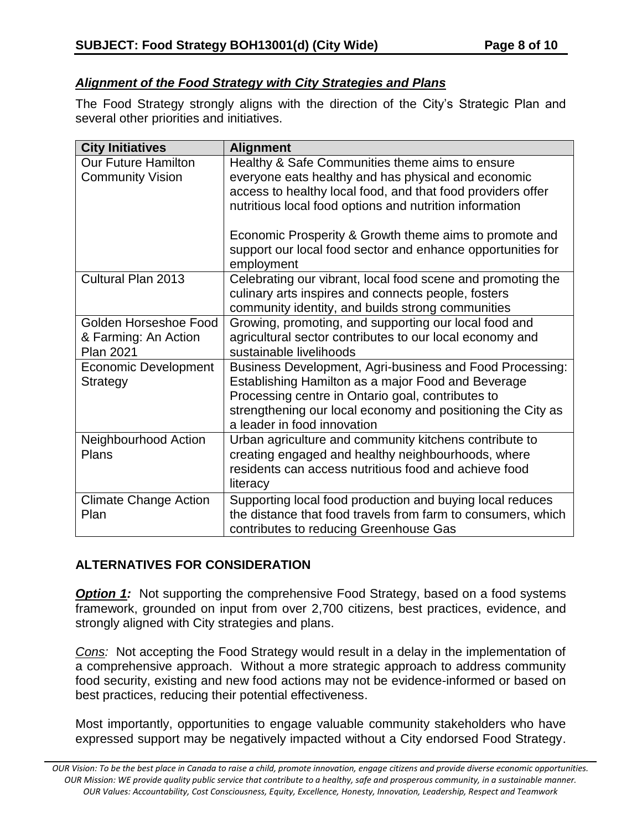# *Alignment of the Food Strategy with City Strategies and Plans*

The Food Strategy strongly aligns with the direction of the City's Strategic Plan and several other priorities and initiatives.

| <b>City Initiatives</b>                                           | <b>Alignment</b>                                                                                                                                                                                                                                                                                                                                          |
|-------------------------------------------------------------------|-----------------------------------------------------------------------------------------------------------------------------------------------------------------------------------------------------------------------------------------------------------------------------------------------------------------------------------------------------------|
| <b>Our Future Hamilton</b><br><b>Community Vision</b>             | Healthy & Safe Communities theme aims to ensure<br>everyone eats healthy and has physical and economic<br>access to healthy local food, and that food providers offer<br>nutritious local food options and nutrition information<br>Economic Prosperity & Growth theme aims to promote and<br>support our local food sector and enhance opportunities for |
| Cultural Plan 2013                                                | employment<br>Celebrating our vibrant, local food scene and promoting the<br>culinary arts inspires and connects people, fosters<br>community identity, and builds strong communities                                                                                                                                                                     |
| Golden Horseshoe Food<br>& Farming: An Action<br><b>Plan 2021</b> | Growing, promoting, and supporting our local food and<br>agricultural sector contributes to our local economy and<br>sustainable livelihoods                                                                                                                                                                                                              |
| <b>Economic Development</b><br>Strategy                           | Business Development, Agri-business and Food Processing:<br>Establishing Hamilton as a major Food and Beverage<br>Processing centre in Ontario goal, contributes to<br>strengthening our local economy and positioning the City as<br>a leader in food innovation                                                                                         |
| Neighbourhood Action<br>Plans                                     | Urban agriculture and community kitchens contribute to<br>creating engaged and healthy neighbourhoods, where<br>residents can access nutritious food and achieve food<br>literacy                                                                                                                                                                         |
| <b>Climate Change Action</b><br>Plan                              | Supporting local food production and buying local reduces<br>the distance that food travels from farm to consumers, which<br>contributes to reducing Greenhouse Gas                                                                                                                                                                                       |

# **ALTERNATIVES FOR CONSIDERATION**

*Option 1:* Not supporting the comprehensive Food Strategy, based on a food systems framework, grounded on input from over 2,700 citizens, best practices, evidence, and strongly aligned with City strategies and plans.

*Cons:* Not accepting the Food Strategy would result in a delay in the implementation of a comprehensive approach. Without a more strategic approach to address community food security, existing and new food actions may not be evidence-informed or based on best practices, reducing their potential effectiveness.

Most importantly, opportunities to engage valuable community stakeholders who have expressed support may be negatively impacted without a City endorsed Food Strategy.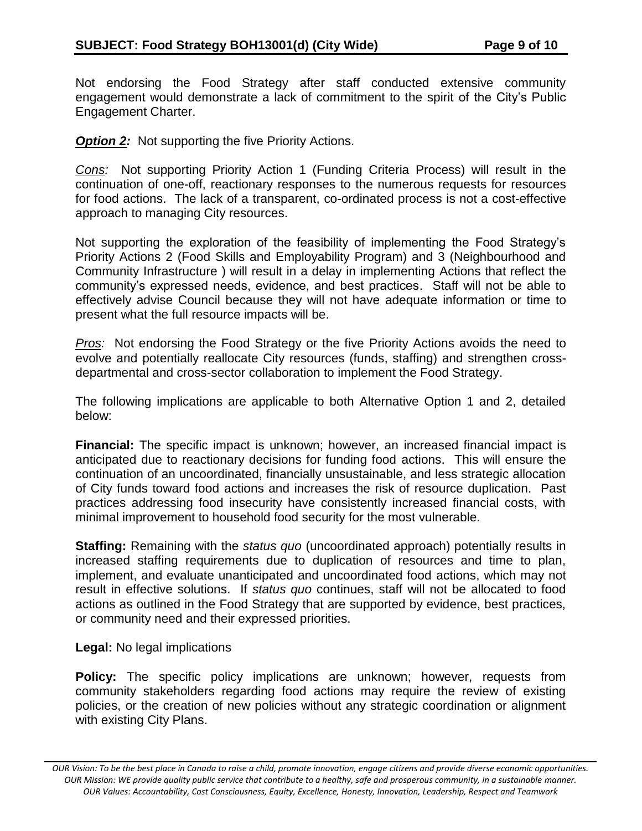Not endorsing the Food Strategy after staff conducted extensive community engagement would demonstrate a lack of commitment to the spirit of the City's Public Engagement Charter.

*Option 2:* Not supporting the five Priority Actions.

*Cons:* Not supporting Priority Action 1 (Funding Criteria Process) will result in the continuation of one-off, reactionary responses to the numerous requests for resources for food actions. The lack of a transparent, co-ordinated process is not a cost-effective approach to managing City resources.

Not supporting the exploration of the feasibility of implementing the Food Strategy's Priority Actions 2 (Food Skills and Employability Program) and 3 (Neighbourhood and Community Infrastructure ) will result in a delay in implementing Actions that reflect the community's expressed needs, evidence, and best practices. Staff will not be able to effectively advise Council because they will not have adequate information or time to present what the full resource impacts will be.

*Pros:* Not endorsing the Food Strategy or the five Priority Actions avoids the need to evolve and potentially reallocate City resources (funds, staffing) and strengthen crossdepartmental and cross-sector collaboration to implement the Food Strategy.

The following implications are applicable to both Alternative Option 1 and 2, detailed below:

**Financial:** The specific impact is unknown; however, an increased financial impact is anticipated due to reactionary decisions for funding food actions. This will ensure the continuation of an uncoordinated, financially unsustainable, and less strategic allocation of City funds toward food actions and increases the risk of resource duplication. Past practices addressing food insecurity have consistently increased financial costs, with minimal improvement to household food security for the most vulnerable.

**Staffing:** Remaining with the *status quo* (uncoordinated approach) potentially results in increased staffing requirements due to duplication of resources and time to plan, implement, and evaluate unanticipated and uncoordinated food actions, which may not result in effective solutions. If *status quo* continues, staff will not be allocated to food actions as outlined in the Food Strategy that are supported by evidence, best practices, or community need and their expressed priorities.

#### **Legal:** No legal implications

**Policy:** The specific policy implications are unknown; however, requests from community stakeholders regarding food actions may require the review of existing policies, or the creation of new policies without any strategic coordination or alignment with existing City Plans.

*OUR Vision: To be the best place in Canada to raise a child, promote innovation, engage citizens and provide diverse economic opportunities. OUR Mission: WE provide quality public service that contribute to a healthy, safe and prosperous community, in a sustainable manner. OUR Values: Accountability, Cost Consciousness, Equity, Excellence, Honesty, Innovation, Leadership, Respect and Teamwork*